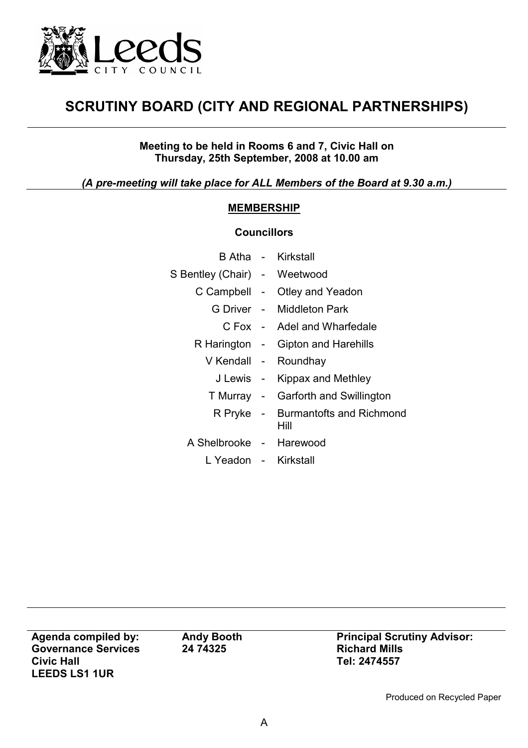

## SCRUTINY BOARD (CITY AND REGIONAL PARTNERSHIPS)

Meeting to be held in Rooms 6 and 7, Civic Hall on Thursday, 25th September, 2008 at 10.00 am

(A pre-meeting will take place for ALL Members of the Board at 9.30 a.m.)

## MEMBERSHIP

## **Councillors**

|                              | B Atha - Kirkstall                         |
|------------------------------|--------------------------------------------|
| S Bentley (Chair) - Weetwood |                                            |
|                              | C Campbell - Otley and Yeadon              |
|                              | G Driver - Middleton Park                  |
|                              | C Fox - Adel and Wharfedale                |
|                              | R Harington - Gipton and Harehills         |
|                              | V Kendall - Roundhay                       |
|                              | J Lewis - Kippax and Methley               |
|                              | T Murray - Garforth and Swillington        |
|                              | R Pryke - Burmantofts and Richmond<br>Hill |
| A Shelbrooke - Harewood      |                                            |
| L Yeadon - Kirkstall         |                                            |
|                              |                                            |

Agenda compiled by: Governance Services Civic Hall LEEDS LS1 1UR

Andy Booth 24 74325

Principal Scrutiny Advisor: Richard Mills Tel: 2474557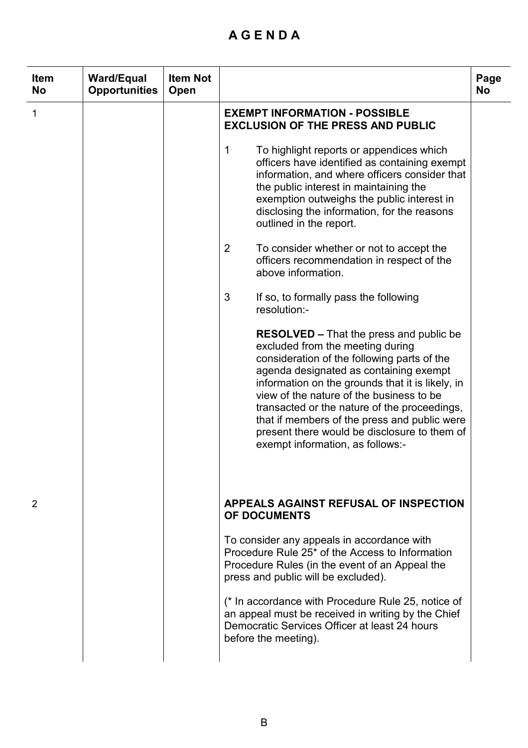## A G E N D A

| <b>Item</b><br><b>No</b> | <b>Ward/Equal</b><br><b>Opportunities</b> | <b>Item Not</b><br><b>Open</b> |                                                                                                                                                                                                                                                                                                                                                                                                                                                                                                                                                                                                                                                                                                                                                                                                                                                                                                                                                                                                                                                            | Page<br><b>No</b> |
|--------------------------|-------------------------------------------|--------------------------------|------------------------------------------------------------------------------------------------------------------------------------------------------------------------------------------------------------------------------------------------------------------------------------------------------------------------------------------------------------------------------------------------------------------------------------------------------------------------------------------------------------------------------------------------------------------------------------------------------------------------------------------------------------------------------------------------------------------------------------------------------------------------------------------------------------------------------------------------------------------------------------------------------------------------------------------------------------------------------------------------------------------------------------------------------------|-------------------|
| 1                        |                                           |                                | <b>EXEMPT INFORMATION - POSSIBLE</b><br><b>EXCLUSION OF THE PRESS AND PUBLIC</b><br>1<br>To highlight reports or appendices which<br>officers have identified as containing exempt<br>information, and where officers consider that<br>the public interest in maintaining the<br>exemption outweighs the public interest in<br>disclosing the information, for the reasons<br>outlined in the report.<br>2<br>To consider whether or not to accept the<br>officers recommendation in respect of the<br>above information.<br>3<br>If so, to formally pass the following<br>resolution:-<br><b>RESOLVED</b> – That the press and public be<br>excluded from the meeting during<br>consideration of the following parts of the<br>agenda designated as containing exempt<br>information on the grounds that it is likely, in<br>view of the nature of the business to be<br>transacted or the nature of the proceedings,<br>that if members of the press and public were<br>present there would be disclosure to them of<br>exempt information, as follows:- |                   |
| 2                        |                                           |                                | APPEALS AGAINST REFUSAL OF INSPECTION<br><b>OF DOCUMENTS</b><br>To consider any appeals in accordance with<br>Procedure Rule 25 <sup>*</sup> of the Access to Information<br>Procedure Rules (in the event of an Appeal the<br>press and public will be excluded).<br>(* In accordance with Procedure Rule 25, notice of<br>an appeal must be received in writing by the Chief<br>Democratic Services Officer at least 24 hours<br>before the meeting).                                                                                                                                                                                                                                                                                                                                                                                                                                                                                                                                                                                                    |                   |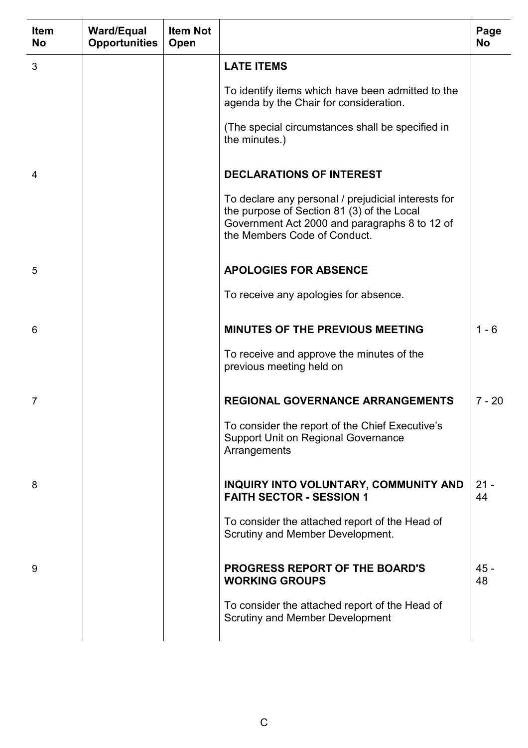| <b>Item</b><br><b>No</b> | <b>Ward/Equal</b><br><b>Opportunities</b> | <b>Item Not</b><br>Open |                                                                                                                                                                                    | Page<br><b>No</b> |
|--------------------------|-------------------------------------------|-------------------------|------------------------------------------------------------------------------------------------------------------------------------------------------------------------------------|-------------------|
| 3                        |                                           |                         | <b>LATE ITEMS</b>                                                                                                                                                                  |                   |
|                          |                                           |                         | To identify items which have been admitted to the<br>agenda by the Chair for consideration.                                                                                        |                   |
|                          |                                           |                         | (The special circumstances shall be specified in<br>the minutes.)                                                                                                                  |                   |
| 4                        |                                           |                         | <b>DECLARATIONS OF INTEREST</b>                                                                                                                                                    |                   |
|                          |                                           |                         | To declare any personal / prejudicial interests for<br>the purpose of Section 81 (3) of the Local<br>Government Act 2000 and paragraphs 8 to 12 of<br>the Members Code of Conduct. |                   |
| 5                        |                                           |                         | <b>APOLOGIES FOR ABSENCE</b>                                                                                                                                                       |                   |
|                          |                                           |                         | To receive any apologies for absence.                                                                                                                                              |                   |
| 6                        |                                           |                         | <b>MINUTES OF THE PREVIOUS MEETING</b>                                                                                                                                             | $1 - 6$           |
|                          |                                           |                         | To receive and approve the minutes of the<br>previous meeting held on                                                                                                              |                   |
| 7                        |                                           |                         | <b>REGIONAL GOVERNANCE ARRANGEMENTS</b>                                                                                                                                            | $7 - 20$          |
|                          |                                           |                         | To consider the report of the Chief Executive's<br><b>Support Unit on Regional Governance</b><br>Arrangements                                                                      |                   |
| 8                        |                                           |                         | INQUIRY INTO VOLUNTARY, COMMUNITY AND<br><b>FAITH SECTOR - SESSION 1</b>                                                                                                           | $21 -$<br>44      |
|                          |                                           |                         | To consider the attached report of the Head of<br>Scrutiny and Member Development.                                                                                                 |                   |
| 9                        |                                           |                         | <b>PROGRESS REPORT OF THE BOARD'S</b><br><b>WORKING GROUPS</b>                                                                                                                     | $45 -$<br>48      |
|                          |                                           |                         | To consider the attached report of the Head of<br><b>Scrutiny and Member Development</b>                                                                                           |                   |